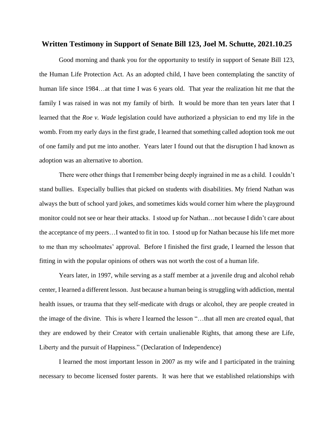## **Written Testimony in Support of Senate Bill 123, Joel M. Schutte, 2021.10.25**

Good morning and thank you for the opportunity to testify in support of Senate Bill 123, the Human Life Protection Act. As an adopted child, I have been contemplating the sanctity of human life since 1984…at that time I was 6 years old. That year the realization hit me that the family I was raised in was not my family of birth. It would be more than ten years later that I learned that the *Roe v. Wade* legislation could have authorized a physician to end my life in the womb. From my early days in the first grade, I learned that something called adoption took me out of one family and put me into another. Years later I found out that the disruption I had known as adoption was an alternative to abortion.

There were other things that I remember being deeply ingrained in me as a child. I couldn't stand bullies. Especially bullies that picked on students with disabilities. My friend Nathan was always the butt of school yard jokes, and sometimes kids would corner him where the playground monitor could not see or hear their attacks. I stood up for Nathan…not because I didn't care about the acceptance of my peers…I wanted to fit in too. I stood up for Nathan because his life met more to me than my schoolmates' approval. Before I finished the first grade, I learned the lesson that fitting in with the popular opinions of others was not worth the cost of a human life.

Years later, in 1997, while serving as a staff member at a juvenile drug and alcohol rehab center, I learned a different lesson. Just because a human being is struggling with addiction, mental health issues, or trauma that they self-medicate with drugs or alcohol, they are people created in the image of the divine. This is where I learned the lesson "…that all men are created equal, that they are endowed by their Creator with certain unalienable Rights, that among these are Life, Liberty and the pursuit of Happiness." (Declaration of Independence)

I learned the most important lesson in 2007 as my wife and I participated in the training necessary to become licensed foster parents. It was here that we established relationships with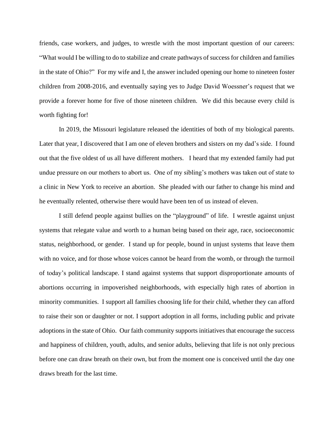friends, case workers, and judges, to wrestle with the most important question of our careers: "What would I be willing to do to stabilize and create pathways of success for children and families in the state of Ohio?" For my wife and I, the answer included opening our home to nineteen foster children from 2008-2016, and eventually saying yes to Judge David Woessner's request that we provide a forever home for five of those nineteen children. We did this because every child is worth fighting for!

In 2019, the Missouri legislature released the identities of both of my biological parents. Later that year, I discovered that I am one of eleven brothers and sisters on my dad's side. I found out that the five oldest of us all have different mothers. I heard that my extended family had put undue pressure on our mothers to abort us. One of my sibling's mothers was taken out of state to a clinic in New York to receive an abortion. She pleaded with our father to change his mind and he eventually relented, otherwise there would have been ten of us instead of eleven.

I still defend people against bullies on the "playground" of life. I wrestle against unjust systems that relegate value and worth to a human being based on their age, race, socioeconomic status, neighborhood, or gender. I stand up for people, bound in unjust systems that leave them with no voice, and for those whose voices cannot be heard from the womb, or through the turmoil of today's political landscape. I stand against systems that support disproportionate amounts of abortions occurring in impoverished neighborhoods, with especially high rates of abortion in minority communities. I support all families choosing life for their child, whether they can afford to raise their son or daughter or not. I support adoption in all forms, including public and private adoptions in the state of Ohio. Our faith community supports initiatives that encourage the success and happiness of children, youth, adults, and senior adults, believing that life is not only precious before one can draw breath on their own, but from the moment one is conceived until the day one draws breath for the last time.